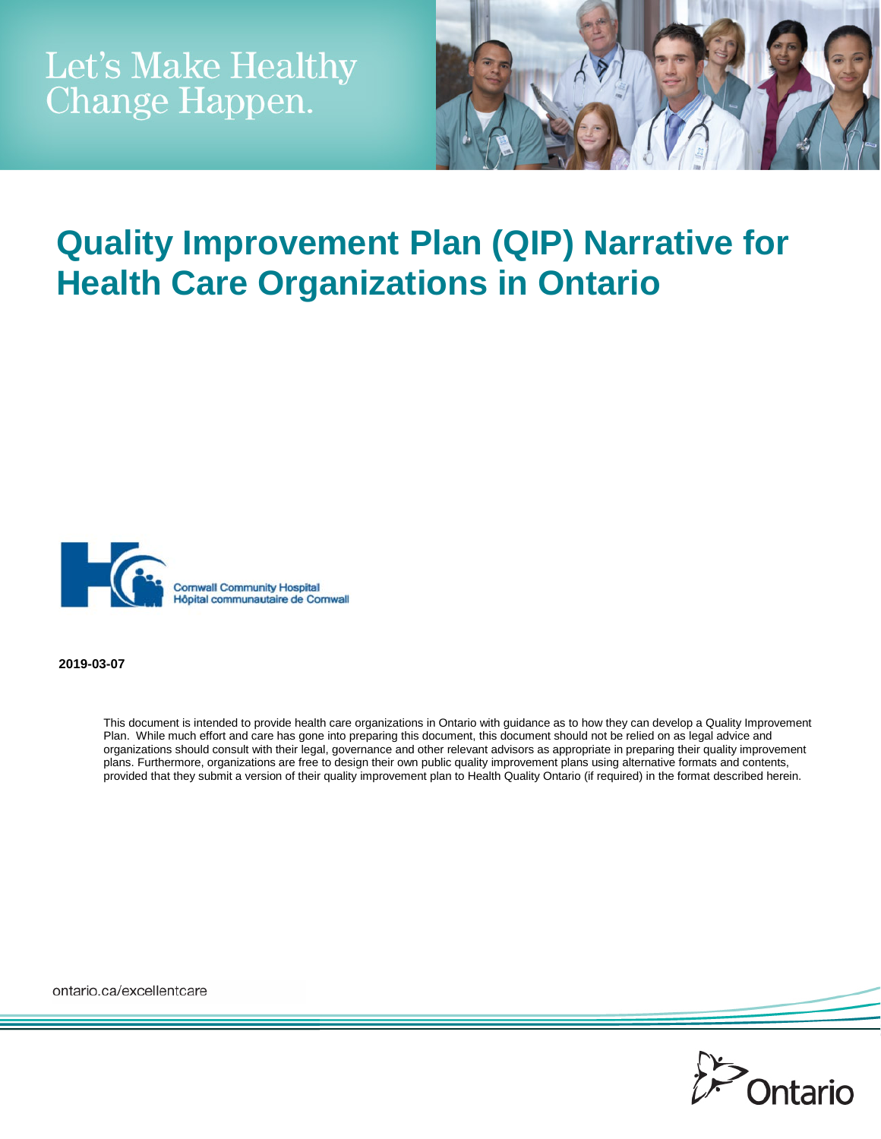

# **Quality Improvement Plan (QIP) Narrative for Health Care Organizations in Ontario**



**2019-03-07**

This document is intended to provide health care organizations in Ontario with guidance as to how they can develop a Quality Improvement Plan. While much effort and care has gone into preparing this document, this document should not be relied on as legal advice and organizations should consult with their legal, governance and other relevant advisors as appropriate in preparing their quality improvement plans. Furthermore, organizations are free to design their own public quality improvement plans using alternative formats and contents, provided that they submit a version of their quality improvement plan to Health Quality Ontario (if required) in the format described herein.

ontario.ca/excellentcare

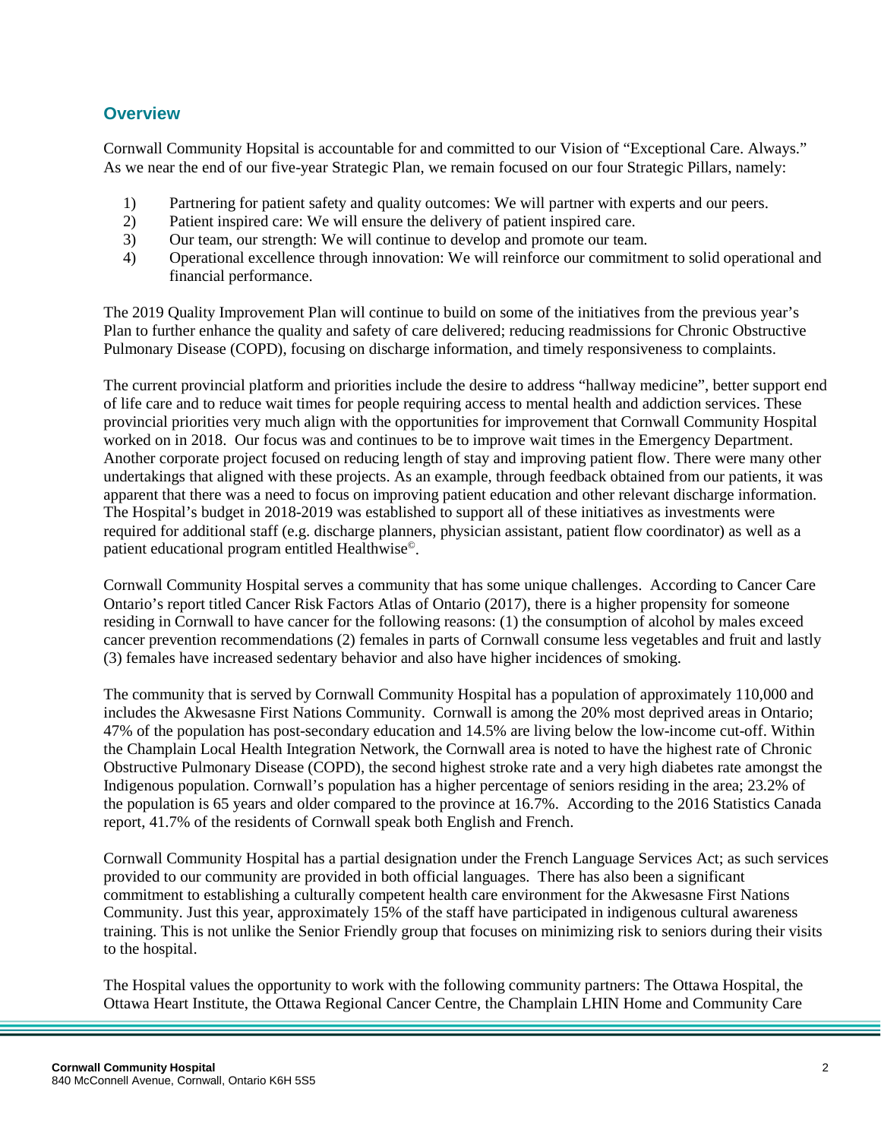#### **Overview**

Cornwall Community Hopsital is accountable for and committed to our Vision of "Exceptional Care. Always." As we near the end of our five-year Strategic Plan, we remain focused on our four Strategic Pillars, namely:

- 1) Partnering for patient safety and quality outcomes: We will partner with experts and our peers.<br>2) Patient inspired care: We will ensure the delivery of patient inspired care.
- Patient inspired care: We will ensure the delivery of patient inspired care.
- 3) Our team, our strength: We will continue to develop and promote our team.
- 4) Operational excellence through innovation: We will reinforce our commitment to solid operational and financial performance.

The 2019 Quality Improvement Plan will continue to build on some of the initiatives from the previous year's Plan to further enhance the quality and safety of care delivered; reducing readmissions for Chronic Obstructive Pulmonary Disease (COPD), focusing on discharge information, and timely responsiveness to complaints.

The current provincial platform and priorities include the desire to address "hallway medicine", better support end of life care and to reduce wait times for people requiring access to mental health and addiction services. These provincial priorities very much align with the opportunities for improvement that Cornwall Community Hospital worked on in 2018. Our focus was and continues to be to improve wait times in the Emergency Department. Another corporate project focused on reducing length of stay and improving patient flow. There were many other undertakings that aligned with these projects. As an example, through feedback obtained from our patients, it was apparent that there was a need to focus on improving patient education and other relevant discharge information. The Hospital's budget in 2018-2019 was established to support all of these initiatives as investments were required for additional staff (e.g. discharge planners, physician assistant, patient flow coordinator) as well as a patient educational program entitled Healthwise©.

Cornwall Community Hospital serves a community that has some unique challenges. According to Cancer Care Ontario's report titled Cancer Risk Factors Atlas of Ontario (2017), there is a higher propensity for someone residing in Cornwall to have cancer for the following reasons: (1) the consumption of alcohol by males exceed cancer prevention recommendations (2) females in parts of Cornwall consume less vegetables and fruit and lastly (3) females have increased sedentary behavior and also have higher incidences of smoking.

The community that is served by Cornwall Community Hospital has a population of approximately 110,000 and includes the Akwesasne First Nations Community. Cornwall is among the 20% most deprived areas in Ontario; 47% of the population has post-secondary education and 14.5% are living below the low-income cut-off. Within the Champlain Local Health Integration Network, the Cornwall area is noted to have the highest rate of Chronic Obstructive Pulmonary Disease (COPD), the second highest stroke rate and a very high diabetes rate amongst the Indigenous population. Cornwall's population has a higher percentage of seniors residing in the area; 23.2% of the population is 65 years and older compared to the province at 16.7%. According to the 2016 Statistics Canada report, 41.7% of the residents of Cornwall speak both English and French.

Cornwall Community Hospital has a partial designation under the French Language Services Act; as such services provided to our community are provided in both official languages. There has also been a significant commitment to establishing a culturally competent health care environment for the Akwesasne First Nations Community. Just this year, approximately 15% of the staff have participated in indigenous cultural awareness training. This is not unlike the Senior Friendly group that focuses on minimizing risk to seniors during their visits to the hospital.

The Hospital values the opportunity to work with the following community partners: The Ottawa Hospital, the Ottawa Heart Institute, the Ottawa Regional Cancer Centre, the Champlain LHIN Home and Community Care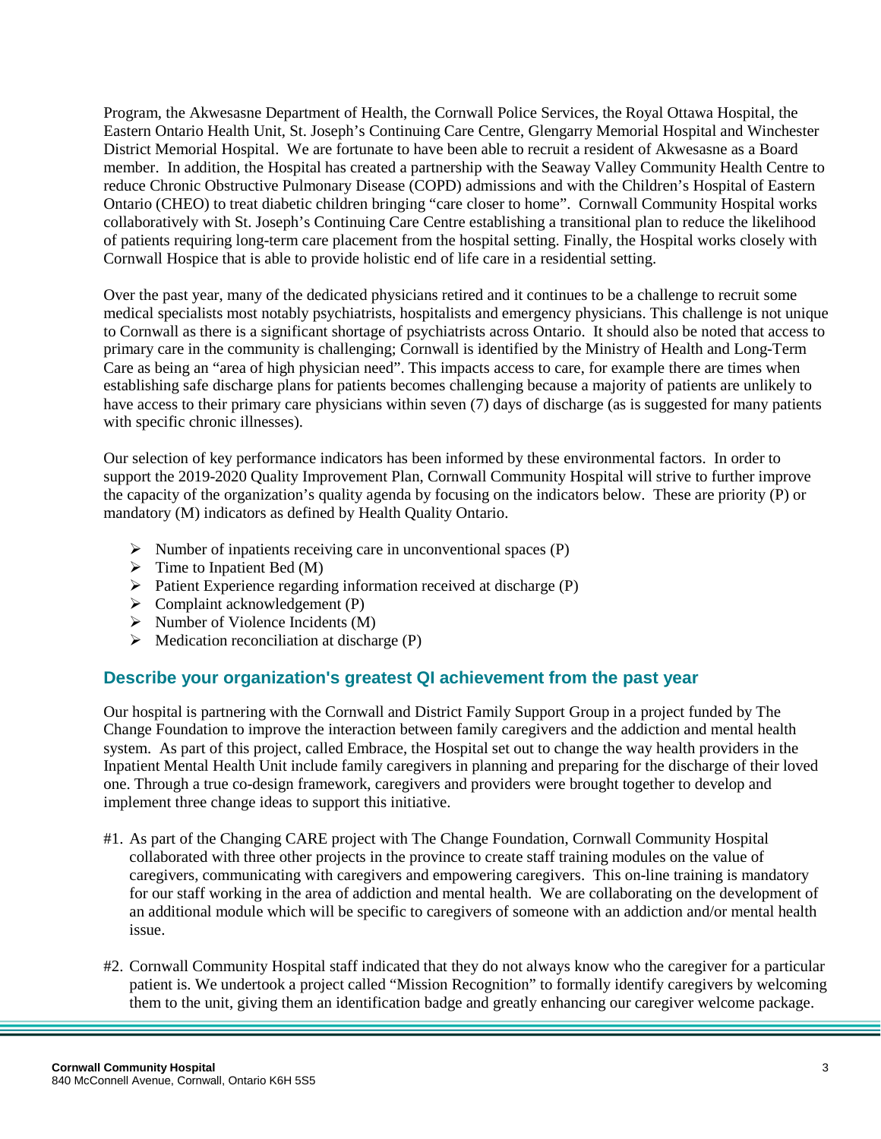Program, the Akwesasne Department of Health, the Cornwall Police Services, the Royal Ottawa Hospital, the Eastern Ontario Health Unit, St. Joseph's Continuing Care Centre, Glengarry Memorial Hospital and Winchester District Memorial Hospital. We are fortunate to have been able to recruit a resident of Akwesasne as a Board member. In addition, the Hospital has created a partnership with the Seaway Valley Community Health Centre to reduce Chronic Obstructive Pulmonary Disease (COPD) admissions and with the Children's Hospital of Eastern Ontario (CHEO) to treat diabetic children bringing "care closer to home". Cornwall Community Hospital works collaboratively with St. Joseph's Continuing Care Centre establishing a transitional plan to reduce the likelihood of patients requiring long-term care placement from the hospital setting. Finally, the Hospital works closely with Cornwall Hospice that is able to provide holistic end of life care in a residential setting.

Over the past year, many of the dedicated physicians retired and it continues to be a challenge to recruit some medical specialists most notably psychiatrists, hospitalists and emergency physicians. This challenge is not unique to Cornwall as there is a significant shortage of psychiatrists across Ontario. It should also be noted that access to primary care in the community is challenging; Cornwall is identified by the Ministry of Health and Long-Term Care as being an "area of high physician need". This impacts access to care, for example there are times when establishing safe discharge plans for patients becomes challenging because a majority of patients are unlikely to have access to their primary care physicians within seven (7) days of discharge (as is suggested for many patients with specific chronic illnesses).

Our selection of key performance indicators has been informed by these environmental factors. In order to support the 2019-2020 Quality Improvement Plan, Cornwall Community Hospital will strive to further improve the capacity of the organization's quality agenda by focusing on the indicators below. These are priority (P) or mandatory (M) indicators as defined by Health Quality Ontario.

- $\triangleright$  Number of inpatients receiving care in unconventional spaces (P)
- $\triangleright$  Time to Inpatient Bed (M)
- $\triangleright$  Patient Experience regarding information received at discharge (P)
- $\triangleright$  Complaint acknowledgement (P)
- $\triangleright$  Number of Violence Incidents (M)
- $\triangleright$  Medication reconciliation at discharge (P)

### **Describe your organization's greatest QI achievement from the past year**

Our hospital is partnering with the Cornwall and District Family Support Group in a project funded by The Change Foundation to improve the interaction between family caregivers and the addiction and mental health system. As part of this project, called Embrace, the Hospital set out to change the way health providers in the Inpatient Mental Health Unit include family caregivers in planning and preparing for the discharge of their loved one. Through a true co-design framework, caregivers and providers were brought together to develop and implement three change ideas to support this initiative.

- #1. As part of the Changing CARE project with The Change Foundation, Cornwall Community Hospital collaborated with three other projects in the province to create staff training modules on the value of caregivers, communicating with caregivers and empowering caregivers. This on-line training is mandatory for our staff working in the area of addiction and mental health. We are collaborating on the development of an additional module which will be specific to caregivers of someone with an addiction and/or mental health issue.
- #2. Cornwall Community Hospital staff indicated that they do not always know who the caregiver for a particular patient is. We undertook a project called "Mission Recognition" to formally identify caregivers by welcoming them to the unit, giving them an identification badge and greatly enhancing our caregiver welcome package.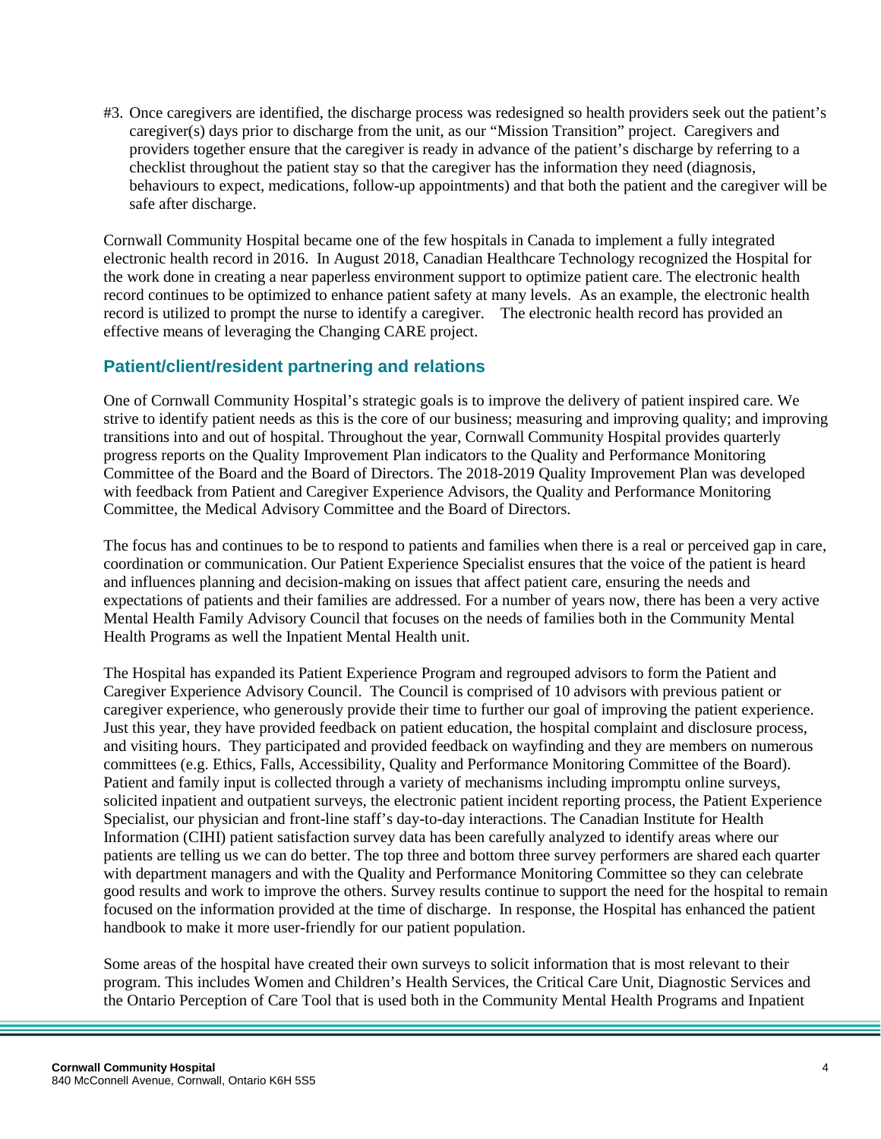#3. Once caregivers are identified, the discharge process was redesigned so health providers seek out the patient's caregiver(s) days prior to discharge from the unit, as our "Mission Transition" project. Caregivers and providers together ensure that the caregiver is ready in advance of the patient's discharge by referring to a checklist throughout the patient stay so that the caregiver has the information they need (diagnosis, behaviours to expect, medications, follow-up appointments) and that both the patient and the caregiver will be safe after discharge.

Cornwall Community Hospital became one of the few hospitals in Canada to implement a fully integrated electronic health record in 2016. In August 2018, Canadian Healthcare Technology recognized the Hospital for the work done in creating a near paperless environment support to optimize patient care. The electronic health record continues to be optimized to enhance patient safety at many levels. As an example, the electronic health record is utilized to prompt the nurse to identify a caregiver. The electronic health record has provided an effective means of leveraging the Changing CARE project.

#### **Patient/client/resident partnering and relations**

One of Cornwall Community Hospital's strategic goals is to improve the delivery of patient inspired care. We strive to identify patient needs as this is the core of our business; measuring and improving quality; and improving transitions into and out of hospital. Throughout the year, Cornwall Community Hospital provides quarterly progress reports on the Quality Improvement Plan indicators to the Quality and Performance Monitoring Committee of the Board and the Board of Directors. The 2018-2019 Quality Improvement Plan was developed with feedback from Patient and Caregiver Experience Advisors, the Quality and Performance Monitoring Committee, the Medical Advisory Committee and the Board of Directors.

The focus has and continues to be to respond to patients and families when there is a real or perceived gap in care, coordination or communication. Our Patient Experience Specialist ensures that the voice of the patient is heard and influences planning and decision-making on issues that affect patient care, ensuring the needs and expectations of patients and their families are addressed. For a number of years now, there has been a very active Mental Health Family Advisory Council that focuses on the needs of families both in the Community Mental Health Programs as well the Inpatient Mental Health unit.

The Hospital has expanded its Patient Experience Program and regrouped advisors to form the Patient and Caregiver Experience Advisory Council. The Council is comprised of 10 advisors with previous patient or caregiver experience, who generously provide their time to further our goal of improving the patient experience. Just this year, they have provided feedback on patient education, the hospital complaint and disclosure process, and visiting hours. They participated and provided feedback on wayfinding and they are members on numerous committees (e.g. Ethics, Falls, Accessibility, Quality and Performance Monitoring Committee of the Board). Patient and family input is collected through a variety of mechanisms including impromptu online surveys, solicited inpatient and outpatient surveys, the electronic patient incident reporting process, the Patient Experience Specialist, our physician and front-line staff's day-to-day interactions. The Canadian Institute for Health Information (CIHI) patient satisfaction survey data has been carefully analyzed to identify areas where our patients are telling us we can do better. The top three and bottom three survey performers are shared each quarter with department managers and with the Quality and Performance Monitoring Committee so they can celebrate good results and work to improve the others. Survey results continue to support the need for the hospital to remain focused on the information provided at the time of discharge. In response, the Hospital has enhanced the patient handbook to make it more user-friendly for our patient population.

Some areas of the hospital have created their own surveys to solicit information that is most relevant to their program. This includes Women and Children's Health Services, the Critical Care Unit, Diagnostic Services and the Ontario Perception of Care Tool that is used both in the Community Mental Health Programs and Inpatient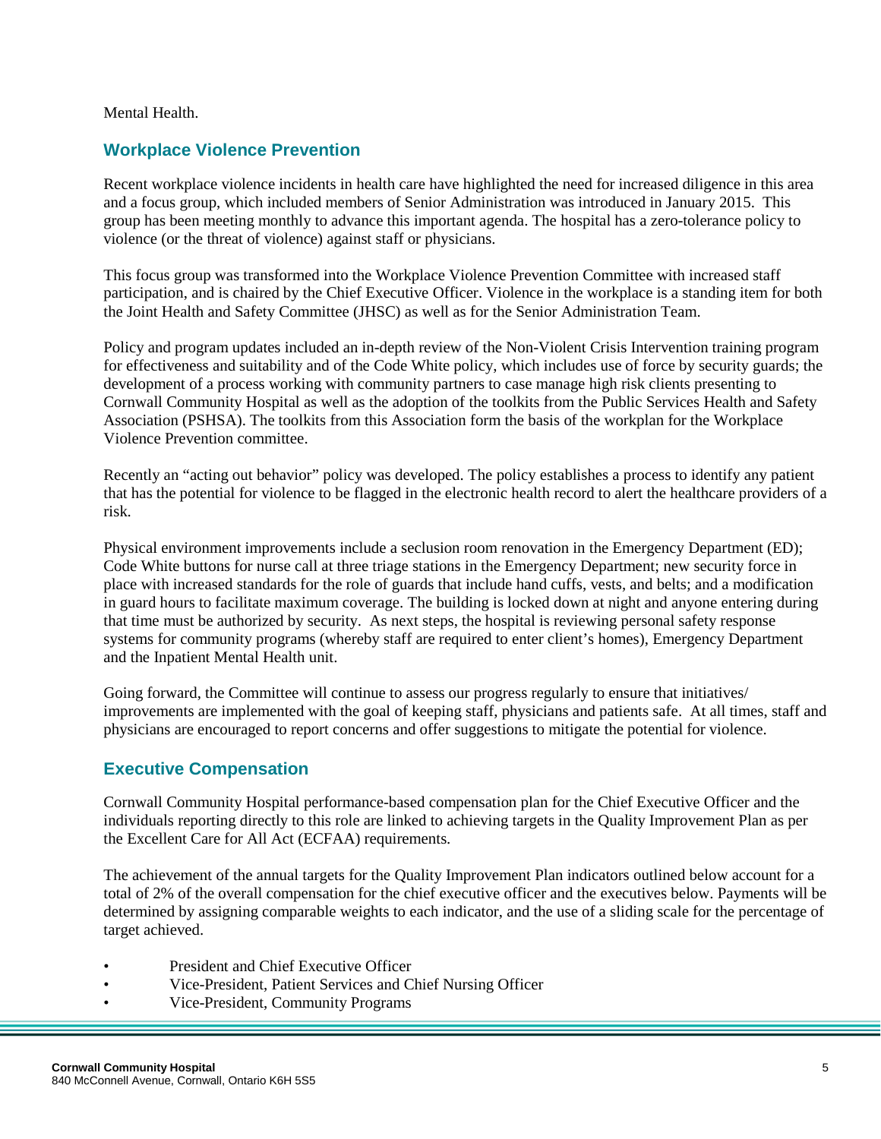Mental Health.

#### **Workplace Violence Prevention**

Recent workplace violence incidents in health care have highlighted the need for increased diligence in this area and a focus group, which included members of Senior Administration was introduced in January 2015. This group has been meeting monthly to advance this important agenda. The hospital has a zero-tolerance policy to violence (or the threat of violence) against staff or physicians.

This focus group was transformed into the Workplace Violence Prevention Committee with increased staff participation, and is chaired by the Chief Executive Officer. Violence in the workplace is a standing item for both the Joint Health and Safety Committee (JHSC) as well as for the Senior Administration Team.

Policy and program updates included an in-depth review of the Non-Violent Crisis Intervention training program for effectiveness and suitability and of the Code White policy, which includes use of force by security guards; the development of a process working with community partners to case manage high risk clients presenting to Cornwall Community Hospital as well as the adoption of the toolkits from the Public Services Health and Safety Association (PSHSA). The toolkits from this Association form the basis of the workplan for the Workplace Violence Prevention committee.

Recently an "acting out behavior" policy was developed. The policy establishes a process to identify any patient that has the potential for violence to be flagged in the electronic health record to alert the healthcare providers of a risk.

Physical environment improvements include a seclusion room renovation in the Emergency Department (ED); Code White buttons for nurse call at three triage stations in the Emergency Department; new security force in place with increased standards for the role of guards that include hand cuffs, vests, and belts; and a modification in guard hours to facilitate maximum coverage. The building is locked down at night and anyone entering during that time must be authorized by security. As next steps, the hospital is reviewing personal safety response systems for community programs (whereby staff are required to enter client's homes), Emergency Department and the Inpatient Mental Health unit.

Going forward, the Committee will continue to assess our progress regularly to ensure that initiatives/ improvements are implemented with the goal of keeping staff, physicians and patients safe. At all times, staff and physicians are encouraged to report concerns and offer suggestions to mitigate the potential for violence.

#### **Executive Compensation**

Cornwall Community Hospital performance-based compensation plan for the Chief Executive Officer and the individuals reporting directly to this role are linked to achieving targets in the Quality Improvement Plan as per the Excellent Care for All Act (ECFAA) requirements.

The achievement of the annual targets for the Quality Improvement Plan indicators outlined below account for a total of 2% of the overall compensation for the chief executive officer and the executives below. Payments will be determined by assigning comparable weights to each indicator, and the use of a sliding scale for the percentage of target achieved.

- President and Chief Executive Officer
- Vice-President, Patient Services and Chief Nursing Officer
- Vice-President, Community Programs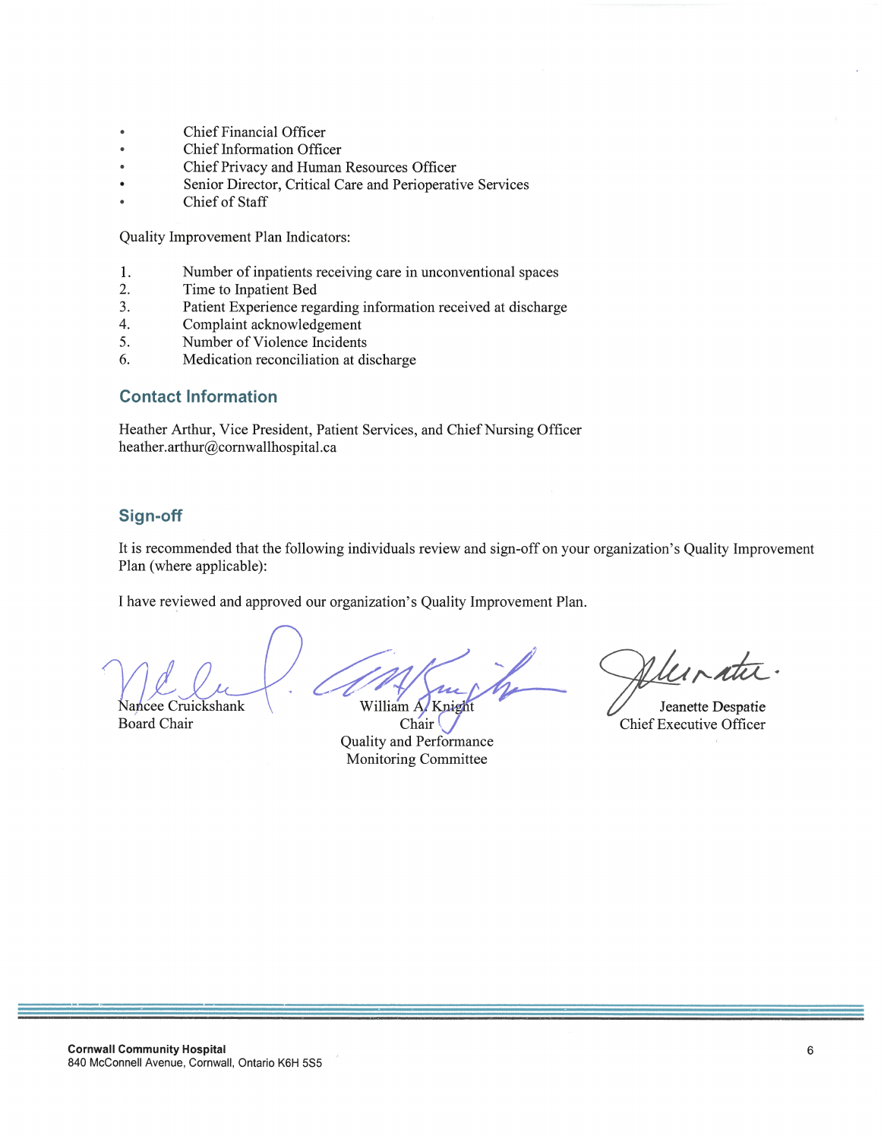- Chief Financial Officer  $\bullet$
- Chief Information Officer
- Chief Privacy and Human Resources Officer
- Senior Director, Critical Care and Perioperative Services
- Chief of Staff

Quality Improvement Plan Indicators:

- 1. Number of inpatients receiving care in unconventional spaces
- 2. Time to Inpatient Bed
- $3.$ Patient Experience regarding information received at discharge
- $\overline{4}$ . Complaint acknowledgement
- 5. Number of Violence Incidents
- Medication reconciliation at discharge 6.

#### **Contact Information**

Heather Arthur, Vice President, Patient Services, and Chief Nursing Officer heather.arthur@cornwallhospital.ca

## Sign-off

It is recommended that the following individuals review and sign-off on your organization's Quality Improvement Plan (where applicable):

I have reviewed and approved our organization's Quality Improvement Plan.

ancee Cruickshank **Board Chair** 

William A. Knight

Chair Quality and Performance Monitoring Committee

Muratu.

Jeanette Despatie **Chief Executive Officer**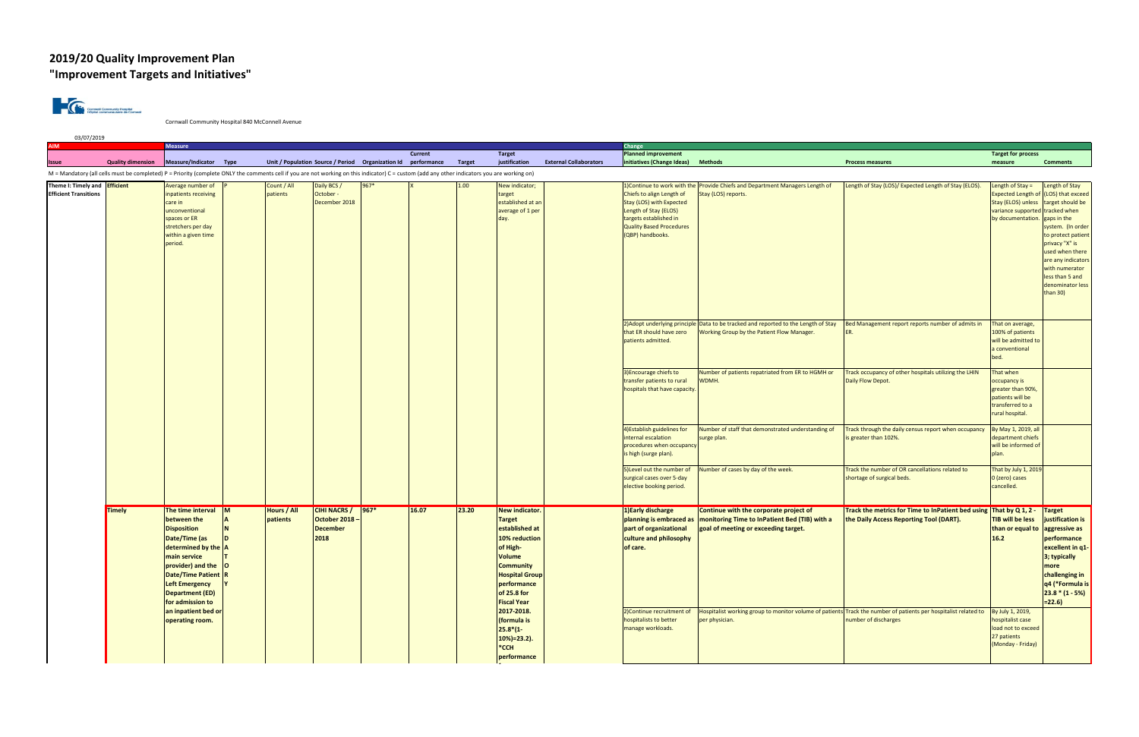# **2019/20 Quality Improvement Plan "Improvement Targets and Initiatives"**



Cornwall Community Hospital 840 McConnell Avenue

| <b>AIM</b>                                                           |                          | <b>Measure</b>                                                                                                                                                                                                                                                                    |                |                         |                                                                |                                                               | Current |               | Target                                                                                                                                                                                                                                                                                       |                                                                                                                                                                                                                                                                            | Change<br><b>Planned improvement</b>                                                                                                                            |                                                                                                                                                               |                                                                                                                                         | <b>Target for process</b>                                                                                     |                                                                                                                                                                                                                                                                     |
|----------------------------------------------------------------------|--------------------------|-----------------------------------------------------------------------------------------------------------------------------------------------------------------------------------------------------------------------------------------------------------------------------------|----------------|-------------------------|----------------------------------------------------------------|---------------------------------------------------------------|---------|---------------|----------------------------------------------------------------------------------------------------------------------------------------------------------------------------------------------------------------------------------------------------------------------------------------------|----------------------------------------------------------------------------------------------------------------------------------------------------------------------------------------------------------------------------------------------------------------------------|-----------------------------------------------------------------------------------------------------------------------------------------------------------------|---------------------------------------------------------------------------------------------------------------------------------------------------------------|-----------------------------------------------------------------------------------------------------------------------------------------|---------------------------------------------------------------------------------------------------------------|---------------------------------------------------------------------------------------------------------------------------------------------------------------------------------------------------------------------------------------------------------------------|
| Issue                                                                | <b>Quality dimension</b> | Measure/Indicator Type                                                                                                                                                                                                                                                            |                |                         |                                                                | Unit / Population Source / Period Organization Id performance |         | <b>Target</b> | justification                                                                                                                                                                                                                                                                                | <b>External Collaborators</b>                                                                                                                                                                                                                                              | initiatives (Change Ideas)                                                                                                                                      | <b>Methods</b>                                                                                                                                                | <b>Process measures</b>                                                                                                                 | measure                                                                                                       | <b>Comments</b>                                                                                                                                                                                                                                                     |
|                                                                      |                          | M = Mandatory (all cells must be completed) P = Priority (complete ONLY the comments cell if you are not working on this indicator) C = custom (add any other indicators you are working on)                                                                                      |                |                         |                                                                |                                                               |         |               |                                                                                                                                                                                                                                                                                              |                                                                                                                                                                                                                                                                            |                                                                                                                                                                 |                                                                                                                                                               |                                                                                                                                         |                                                                                                               |                                                                                                                                                                                                                                                                     |
| Theme I: Timely and <b>Efficient</b><br><b>Efficient Transitions</b> |                          | Average number of<br>inpatients receiving<br>care in<br>unconventional<br>spaces or ER<br>stretchers per day<br>within a given time<br>period.                                                                                                                                    |                | Count / All<br>patients | Daily BCS /<br>October -<br>December 2018                      | 967*                                                          |         | 1.00          | New indicator;<br>target<br>established at an<br>average of 1 per                                                                                                                                                                                                                            |                                                                                                                                                                                                                                                                            | Chiefs to align Length of<br>Stay (LOS) with Expected<br>Length of Stay (ELOS)<br>targets established in<br><b>Quality Based Procedures</b><br>(QBP) handbooks. | 1) Continue to work with the Provide Chiefs and Department Managers Length of<br>Length of Stay (LOS)/ Expected Length of Stay (ELOS).<br>Stay (LOS) reports. |                                                                                                                                         | Length of Stay =<br><b>Expected Length of</b><br>Stay (ELOS) unless<br>variance supportec<br>by documentation | ength of Stay<br>(LOS) that exceed<br>target should be<br>tracked when<br>gaps in the<br>system. (In order<br>to protect patient<br>privacy "X" is<br>used when there<br>are any indicators<br>with numerator<br>less than 5 and<br>denominator less<br>than $30$ ) |
|                                                                      |                          |                                                                                                                                                                                                                                                                                   |                |                         |                                                                |                                                               |         |               |                                                                                                                                                                                                                                                                                              | that ER should have zero<br>patients admitted.<br>3) Encourage chiefs to<br>transfer patients to rural<br>4) Establish guidelines for<br>nternal escalation<br>s high (surge plan).<br>5) Level out the number of<br>surgical cases over 5-day<br>elective booking period. | 2) Adopt underlying principle Data to be tracked and reported to the Length of Stay<br>Working Group by the Patient Flow Manager                                | Bed Management report reports number of admits in                                                                                                             | That on average,<br>100% of patients<br>will be admitted to<br>a conventional<br>bed.                                                   |                                                                                                               |                                                                                                                                                                                                                                                                     |
|                                                                      |                          |                                                                                                                                                                                                                                                                                   |                |                         |                                                                |                                                               |         |               |                                                                                                                                                                                                                                                                                              |                                                                                                                                                                                                                                                                            | hospitals that have capacity.                                                                                                                                   | Number of patients repatriated from ER to HGMH or<br>WDMH.                                                                                                    | Track occupancy of other hospitals utilizing the LHIN<br>Daily Flow Depot.                                                              | That when<br>occupancy is<br>greater than 90%<br>patients will be<br>transferred to a<br>rural hospital.      |                                                                                                                                                                                                                                                                     |
|                                                                      |                          |                                                                                                                                                                                                                                                                                   |                |                         |                                                                |                                                               |         |               |                                                                                                                                                                                                                                                                                              |                                                                                                                                                                                                                                                                            | procedures when occupancy                                                                                                                                       | Number of staff that demonstrated understanding of<br>surge plan.                                                                                             | Track through the daily census report when occupancy<br>is greater than 102%.                                                           | By May 1, 2019, all<br>department chiefs<br>will be informed of<br>plan.                                      |                                                                                                                                                                                                                                                                     |
|                                                                      |                          |                                                                                                                                                                                                                                                                                   |                |                         |                                                                |                                                               |         |               |                                                                                                                                                                                                                                                                                              |                                                                                                                                                                                                                                                                            |                                                                                                                                                                 | Number of cases by day of the week.                                                                                                                           | Track the number of OR cancellations related to<br>shortage of surgical beds.                                                           | That by July 1, 2019<br>0 (zero) cases<br>cancelled.                                                          |                                                                                                                                                                                                                                                                     |
|                                                                      | Timely                   | The time interval<br>between the<br><b>Disposition</b><br>Date/Time (as<br>determined by the $ A $<br>main service<br>provider) and the O<br>Date/Time Patient R<br><b>Left Emergency</b><br><b>Department (ED)</b><br>for admission to<br>an inpatient bed or<br>operating room. | $\blacksquare$ | Hours / All<br>patients | <b>CIHI NACRS /</b><br>October 2018<br><b>December</b><br>2018 | $967*$                                                        | 16.07   | 23.20         | <b>New indicator.</b><br><b>Target</b><br>established at<br>10% reduction<br>of High-<br><b>Volume</b><br><b>Community</b><br><b>Hospital Group</b><br>performance<br>of 25.8 for<br><b>Fiscal Year</b><br>2017-2018.<br>(formula is<br>$25.8*(1 -$<br>$10%$ = 23.2).<br>*CCH<br>performance |                                                                                                                                                                                                                                                                            | 1) Early discharge<br>planning is embraced as<br>part of organizational<br>culture and philosophy<br>of care.                                                   | Continue with the corporate project of<br>monitoring Time to InPatient Bed (TIB) with a<br>goal of meeting or exceeding target.                               | Track the metrics for Time to InPatient bed using That by Q 1, 2 -<br>the Daily Access Reporting Tool (DART).                           | <b>TIB will be less</b><br>than or equal to<br>16.2                                                           | <b>Target</b><br>justification is<br>aggressive as<br>performance<br>excellent in q1-<br>3; typically<br>more<br>challenging in<br>q4 (*Formula is<br>$23.8*(1 - 5%)$<br>$= 22.6$                                                                                   |
|                                                                      |                          |                                                                                                                                                                                                                                                                                   |                |                         |                                                                |                                                               |         |               |                                                                                                                                                                                                                                                                                              |                                                                                                                                                                                                                                                                            | 2) Continue recruitment of<br>hospitalists to better<br>manage workloads.                                                                                       | per physician.                                                                                                                                                | Hospitalist working group to monitor volume of patients Track the number of patients per hospitalist related to<br>number of discharges | By July 1, 2019,<br>hospitalist case<br>load not to exceed<br>27 patients<br>(Monday - Friday)                |                                                                                                                                                                                                                                                                     |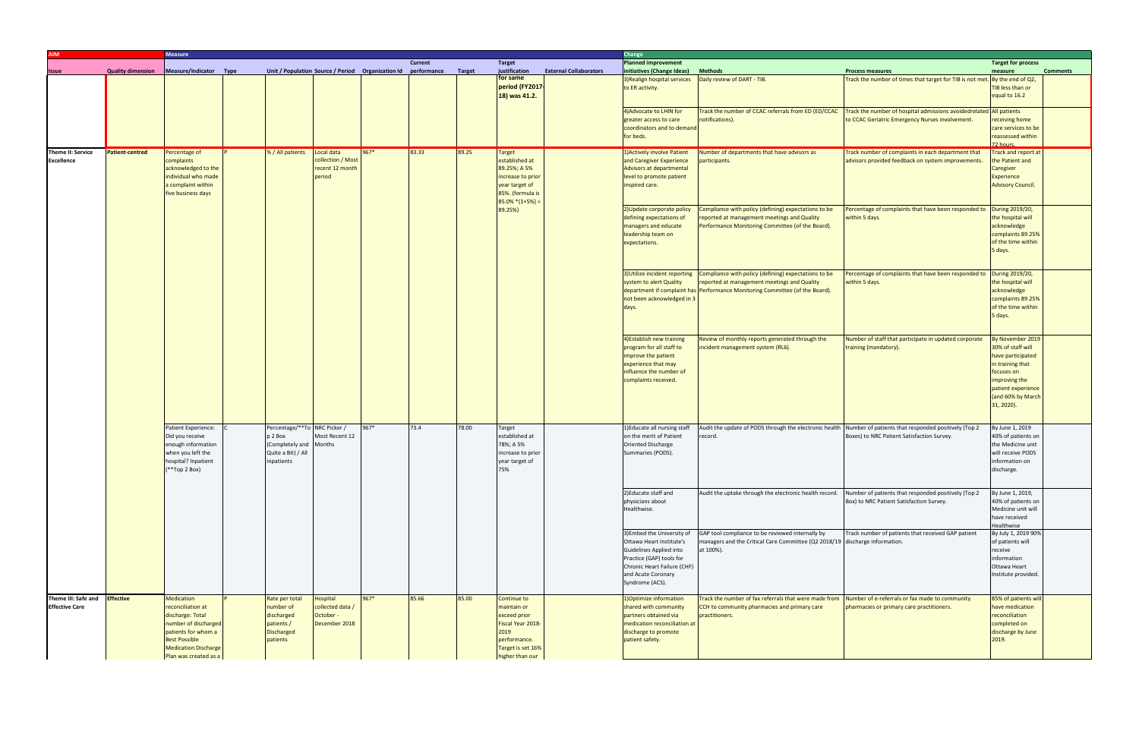| <b>NIA</b>                                             |                          | <b>Measure</b>                                                                                                                                                                            |             |                                                                                                       |                                                              |        |                        |               |                                                                                                                                     |                                                                                                                                             | Change                                                                                                                                                 |                                                                                                                                                                                     |                                                                                                           |                                                                                                                                                                        |
|--------------------------------------------------------|--------------------------|-------------------------------------------------------------------------------------------------------------------------------------------------------------------------------------------|-------------|-------------------------------------------------------------------------------------------------------|--------------------------------------------------------------|--------|------------------------|---------------|-------------------------------------------------------------------------------------------------------------------------------------|---------------------------------------------------------------------------------------------------------------------------------------------|--------------------------------------------------------------------------------------------------------------------------------------------------------|-------------------------------------------------------------------------------------------------------------------------------------------------------------------------------------|-----------------------------------------------------------------------------------------------------------|------------------------------------------------------------------------------------------------------------------------------------------------------------------------|
| <b>Issue</b>                                           | <b>Quality dimension</b> | Measure/Indicator                                                                                                                                                                         | <b>Type</b> |                                                                                                       | Unit / Population Source / Period Organization Id            |        | Current<br>performance | <b>Target</b> | <b>Target</b><br>justification                                                                                                      | <b>External Collaborators</b>                                                                                                               | <b>Planned improvement</b><br>initiatives (Change Ideas)                                                                                               | <b>Methods</b>                                                                                                                                                                      | <b>Process measures</b>                                                                                   | <b>Target for process</b><br><b>Comments</b><br>measure                                                                                                                |
|                                                        |                          |                                                                                                                                                                                           |             |                                                                                                       |                                                              |        |                        |               | for same<br>period (FY2017-<br>18) was 41.2.                                                                                        |                                                                                                                                             | 3) Realign hospital services<br>to ER activity.                                                                                                        | Daily review of DART - TIB.                                                                                                                                                         | Track the number of times that target for TIB is not met.                                                 | By the end of Q2,<br><b>TIB less than or</b><br>equal to 16.2                                                                                                          |
|                                                        |                          |                                                                                                                                                                                           |             |                                                                                                       |                                                              |        |                        |               |                                                                                                                                     |                                                                                                                                             | 4) Advocate to LHIN for<br>greater access to care<br>coordinators and to demand<br>for beds.                                                           | Track the number of CCAC referrals from ED (ED/CCAC<br>notifications).                                                                                                              | Track the number of hospital admissions avoidedrelated<br>to CCAC Geriatric Emergency Nurses involvement. | <b>All patients</b><br>receiving home<br>care services to be<br>reassessed within<br>72 hours.                                                                         |
| <b>Theme II: Service</b><br><b>Excellence</b>          | <b>Patient-centred</b>   | Percentage of<br>complaints<br>acknowledged to the<br>ndividual who made<br>a complaint within<br>five business days                                                                      |             | % / All patients                                                                                      | Local data<br>collection / Most<br>recent 12 month<br>period | $967*$ | 83.33                  | 89.25         | Target<br>established at<br>89.25%; A 5%<br>increase to prior<br>year target of<br>85%. (formula is<br>$85.0\%*(1+5%) =$<br>89.25%) |                                                                                                                                             | 1) Actively involve Patient<br>and Caregiver Experience<br>Advisors at departmental<br>level to promote patient<br>inspired care.                      | Number of departments that have advisors as<br>participants.                                                                                                                        | Track number of complaints in each department that<br>advisors provided feedback on system improvements   | Track and report at<br>the Patient and<br>Caregiver<br>Experience<br><b>Advisory Council.</b>                                                                          |
|                                                        |                          |                                                                                                                                                                                           |             |                                                                                                       |                                                              |        |                        |               |                                                                                                                                     |                                                                                                                                             | 2) Update corporate policy<br>defining expectations of<br>managers and educate<br>leadership team on<br>expectations.                                  | Compliance with policy (defining) expectations to be<br>reported at management meetings and Quality<br>Performance Monitoring Committee (of the Board).                             | Percentage of complaints that have been responded to<br>within 5 days.                                    | During 2019/20,<br>the hospital will<br>acknowledge<br>complaints 89.25%<br>of the time within<br>5 days.                                                              |
|                                                        |                          |                                                                                                                                                                                           |             |                                                                                                       |                                                              |        |                        |               |                                                                                                                                     |                                                                                                                                             | 3) Utilize incident reporting<br>system to alert Quality<br>not been acknowledged in 3                                                                 | Compliance with policy (defining) expectations to be<br>reported at management meetings and Quality<br>department if complaint has Performance Monitoring Committee (of the Board). | Percentage of complaints that have been responded to<br>within 5 days.                                    | During 2019/20,<br>the hospital will<br>acknowledge<br>complaints 89.25%<br>of the time within<br>5 days.                                                              |
|                                                        |                          |                                                                                                                                                                                           |             |                                                                                                       |                                                              |        |                        |               |                                                                                                                                     |                                                                                                                                             | 4) Establish new training<br>program for all staff to<br>improve the patient<br>experience that may<br>influence the number of<br>complaints received. | Review of monthly reports generated through the<br>ncident management system (RL6).                                                                                                 | Number of staff that participate in updated corporate<br>training (mandatory).                            | By November 2019<br>30% of staff will<br>have participated<br>in training that<br>focuses on<br>improving the<br>patient experience<br>(and 60% by March<br>31, 2020). |
|                                                        |                          | Patient Experience:<br>Did you receive<br>enough information<br>when you left the<br>hospital? Inpatient<br>**Top 2 Box)                                                                  |             | Percentage/**To NRC Picker /<br>p 2 Box<br>(Completely and Months<br>Quite a Bit) / All<br>inpatients | Most Recent 12                                               | 967*   | 73.4                   | 78.00         | Target<br>established at<br>78%; A 5%<br>increase to prior<br>year target of<br>75%                                                 | Oriented Discharge<br>Summaries (PODS).<br>2) Educate staff and<br>physicians about<br>Healthwise.<br>and Acute Coronary<br>Syndrome (ACS). | 1) Educate all nursing staff<br>on the merit of Patient                                                                                                | Audit the update of PODS through the electronic health Number of patients that responded positively (Top 2<br>record.                                                               | Boxes) to NRC Patient Satisfaction Survey.                                                                | By June 1, 2019<br>40% of patients on<br>the Medicine unit<br>will receive PODS<br>information on<br>discharge.                                                        |
|                                                        |                          |                                                                                                                                                                                           |             |                                                                                                       |                                                              |        |                        |               |                                                                                                                                     |                                                                                                                                             |                                                                                                                                                        | Audit the uptake through the electronic health record. Number of patients that responded positively (Top 2                                                                          | Box) to NRC Patient Satisfaction Survey.                                                                  | By June 1, 2019,<br>40% of patients on<br>Medicine unit will<br>have received<br>Healthwise                                                                            |
|                                                        |                          |                                                                                                                                                                                           |             |                                                                                                       |                                                              |        |                        |               |                                                                                                                                     |                                                                                                                                             | 3) Embed the University of<br>Ottawa Heart Institute's<br>Guidelines Applied into<br>Practice (GAP) tools for<br>Chronic Heart Failure (CHF)           | GAP tool compliance to be reviewed internally by<br>managers and the Critical Care Committee (Q2 2018/19 discharge information.<br>at 100%).                                        | Track number of patients that received GAP patient                                                        | By July 1, 2019 90%<br>of patients will<br>receive<br>information<br>Ottawa Heart<br>Institute provided.                                                               |
| Theme III: Safe and Effective<br><b>Effective Care</b> |                          | <b>Medication</b><br>reconciliation at<br>discharge: Total<br>number of discharged<br>patients for whom a<br><b>Best Possible</b><br><b>Medication Discharge</b><br>Plan was created as a |             | Rate per total<br>number of<br>discharged<br>patients /<br><b>Discharged</b><br>patients              | Hospital<br>collected data /<br>October -<br>December 2018   | 967*   | 85.66                  | 85.00         | Continue to<br>maintain or<br>exceed prior<br>Fiscal Year 2018-<br>2019<br>performance.<br>Target is set 16%<br>ligher than our     |                                                                                                                                             | 1) Optimize information<br>shared with community<br>partners obtained via<br>medication reconciliation at<br>discharge to promote<br>patient safety.   | Track the number of fax referrals that were made from<br>CCH to community pharmacies and primary care<br>practitioners.                                                             | Number of e-referrals or fax made to community<br>pharmacies or primary care practitioners.               | 85% of patients will<br>have medication<br>reconciliation<br>completed on<br>discharge by June<br>2019.                                                                |